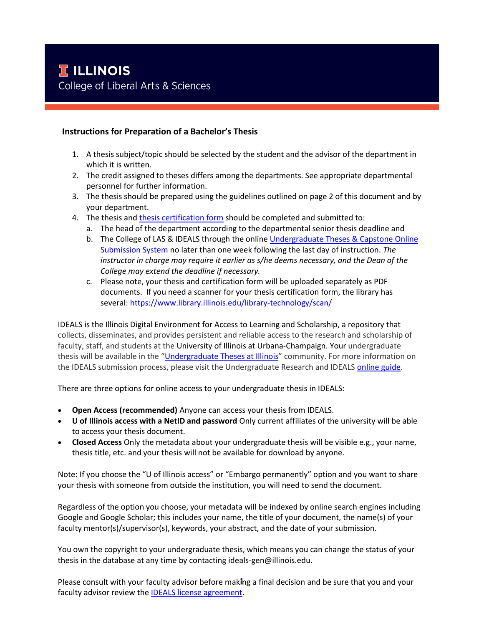## **Instructions for Preparation of a Bachelor's Thesis**

- 1. A thesis subject/topic should be selected by the student and the advisor of the department in which it is written.
- 2. The credit assigned to theses differs among the departments. See appropriate departmental personnel for further information.
- 3. The thesis should be prepared using the guidelines outlined on page 2 of this document and by your department.
- 4. The thesis and [thesis certification form](https://las.illinois.edu/system/files/inline-files/thesiscertification_Spring%202019.pdf) should be completed and submitted to:
	- a. The head of the department according to the departmental senior thesis deadline and
	- b. The College of LAS & IDEALS through the online [Undergraduate Theses & Capstone Online](https://ugtheses.library.illinois.edu/)  [Submission System](https://ugtheses.library.illinois.edu/) no later than one week following the last day of instruction. *The instructor in charge may require it earlier as s/he deems necessary, and the Dean of the College may extend the deadline if necessary.*
	- c. Please note, your thesis and certification form will be uploaded separately as PDF documents. If you need a scanner for your thesis certification form, the library has several[: https://www.library.illinois.edu/library-technology/scan/](https://www.library.illinois.edu/library-technology/scan/)

IDEALS is the Illinois Digital Environment for Access to Learning and Scholarship, a repository that collects, disseminates, and provides persistent and reliable access to the research and scholarship of faculty, staff, and students at the University of Illinois at Urbana-Champaign. Your undergraduate thesis will be available in the "[Undergraduate Theses at Illinois](https://www.ideals.illinois.edu/handle/2142/46075)" community. For more information on the IDEALS submission process, please visit the Undergraduate Research and IDEAL[S online guide.](https://guides.library.illinois.edu/ugresearch)

There are three options for online access to your undergraduate thesis in IDEALS:

- **Open Access (recommended)** Anyone can access your thesis from IDEALS.
- **U of Illinois access with a NetID and password** Only current affiliates of the university will be able to access your thesis document.
- **Closed Access** Only the metadata about your undergraduate thesis will be visible e.g., your name, thesis title, etc. and your thesis will not be available for download by anyone.

Note: If you choose the "U of Illinois access" or "Embargo permanently" option and you want to share your thesis with someone from outside the institution, you will need to send the document.

Regardless of the option you choose, your metadata will be indexed by online search engines including Google and Google Scholar; this includes your name, the title of your document, the name(s) of your faculty mentor(s)/supervisor(s), keywords, your abstract, and the date of your submission.

You own the copyright to your undergraduate thesis, which means you can change the status of your thesis in the database at any time by contacting ideals-gen@illinois.edu.

Please consult with your faculty advisor before making a final decision and be sure that you and your faculty advisor review the [IDEALS license agreement.](https://wiki.illinois.edu/wiki/display/IDEALS/Deposit+Agreement+-+Non-Exclusive+Distribution+and+Preservation+License)